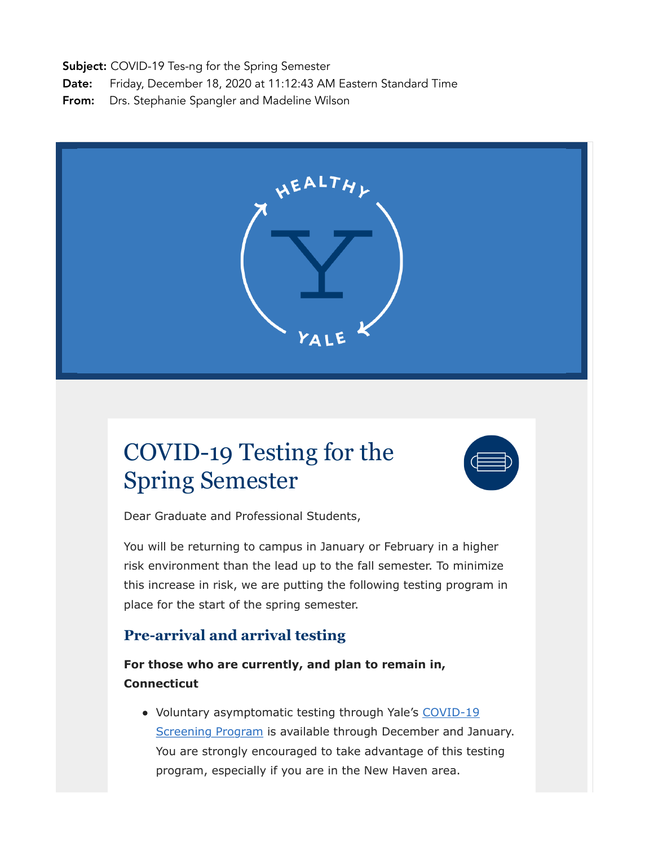Subject: COVID-19 Tes-ng for the Spring Semester

Date: Friday, December 18, 2020 at 11:12:43 AM Eastern Standard Time

From: Drs. Stephanie Spangler and Madeline Wilson



## COVID-19 Testing for the Spring Semester



Dear Graduate and Professional Students,

You will be returning to campus in January or February in a higher risk environment than the lead up to the fall semester. To minimize this increase in risk, we are putting the following testing program in place for the start of the spring semester.

## **Pre-arrival and arrival testing**

**For those who are currently, and plan to remain in, Connecticut**

• Voluntary asymptomatic testing through Yale's [COVID-19](https://covid19.yale.edu/health/screening-program/screening-program-faculty-staff-and-graduate-and-professional-students) [Screening Program](https://covid19.yale.edu/health/screening-program/screening-program-faculty-staff-and-graduate-and-professional-students) is available through December and January. You are strongly encouraged to take advantage of this testing program, especially if you are in the New Haven area.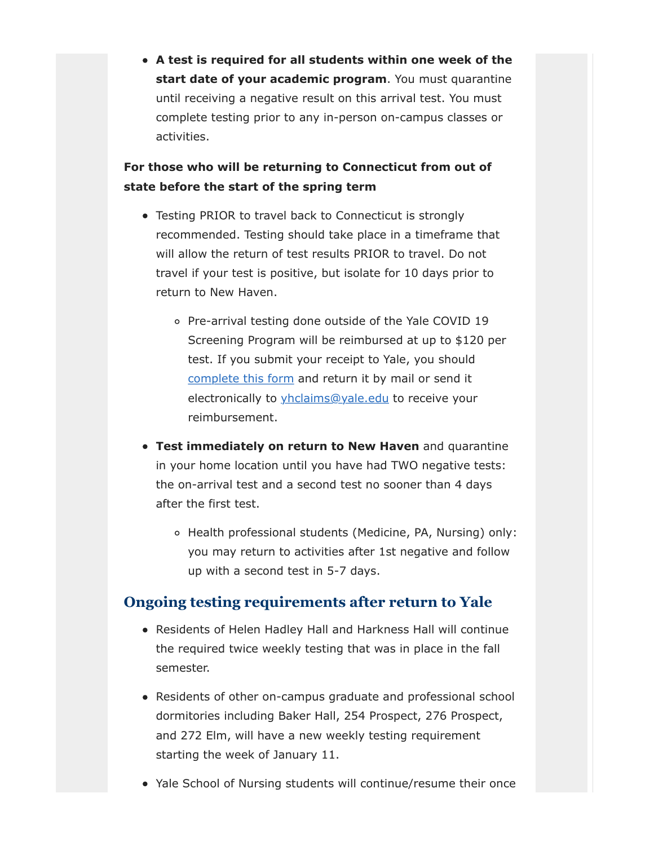**A test is required for all students within one week of the start date of your academic program**. You must quarantine until receiving a negative result on this arrival test. You must complete testing prior to any in-person on-campus classes or activities.

## **For those who will be returning to Connecticut from out of state before the start of the spring term**

- Testing PRIOR to travel back to Connecticut is strongly recommended. Testing should take place in a timeframe that will allow the return of test results PRIOR to travel. Do not travel if your test is positive, but isolate for 10 days prior to return to New Haven.
	- o Pre-arrival testing done outside of the Yale COVID 19 Screening Program will be reimbursed at up to \$120 per test. If you submit your receipt to Yale, you should [complete this form](https://yale.box.com/public/static/1c2fj93s5x0ex5aao682ti5ip4wg9fs1.pdf) and return it by mail or send it electronically to yhclaims@yale.edu to receive your reimbursement.
- **Test immediately on return to New Haven** and quarantine in your home location until you have had TWO negative tests: the on-arrival test and a second test no sooner than 4 days after the first test.
	- Health professional students (Medicine, PA, Nursing) only: you may return to activities after 1st negative and follow up with a second test in 5-7 days.

## **Ongoing testing requirements after return to Yale**

- Residents of Helen Hadley Hall and Harkness Hall will continue the required twice weekly testing that was in place in the fall semester.
- Residents of other on-campus graduate and professional school dormitories including Baker Hall, 254 Prospect, 276 Prospect, and 272 Elm, will have a new weekly testing requirement starting the week of January 11.
- Yale School of Nursing students will continue/resume their once